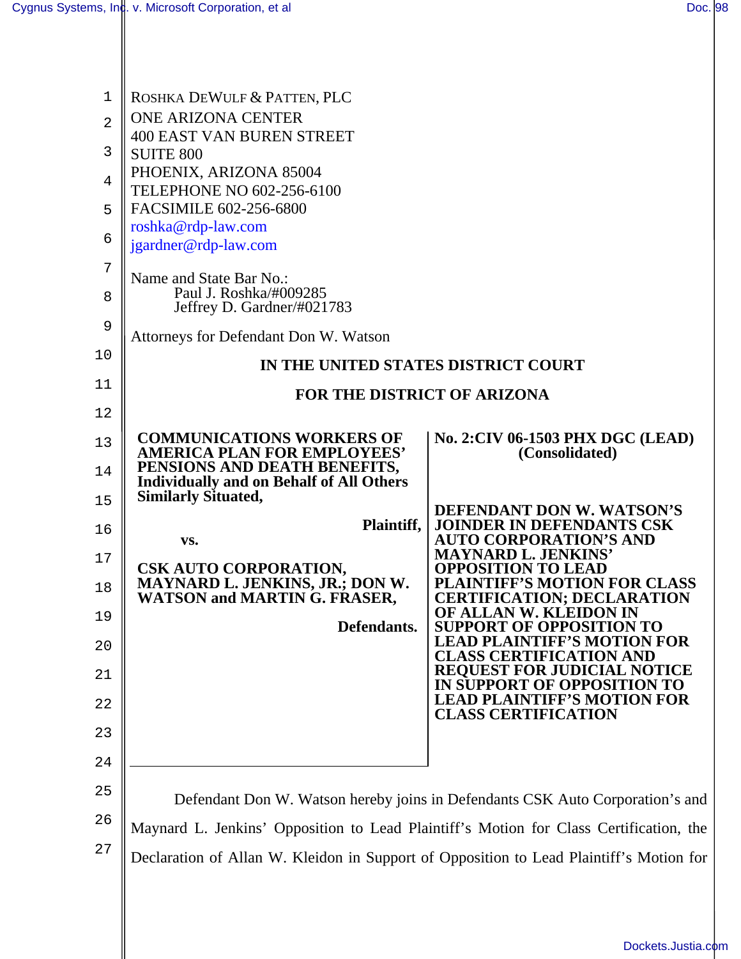$\parallel$ 

| 1              | ROSHKA DEWULF & PATTEN, PLC                                                                     |                                                                                                       |
|----------------|-------------------------------------------------------------------------------------------------|-------------------------------------------------------------------------------------------------------|
| $\overline{2}$ | <b>ONE ARIZONA CENTER</b>                                                                       |                                                                                                       |
| 3              | <b>400 EAST VAN BUREN STREET</b>                                                                |                                                                                                       |
|                | <b>SUITE 800</b><br>PHOENIX, ARIZONA 85004                                                      |                                                                                                       |
| $\overline{4}$ | TELEPHONE NO 602-256-6100                                                                       |                                                                                                       |
| 5              | FACSIMILE 602-256-6800                                                                          |                                                                                                       |
| 6              | roshka@rdp-law.com<br>jgardner@rdp-law.com                                                      |                                                                                                       |
| 7              |                                                                                                 |                                                                                                       |
| 8              | Name and State Bar No.:<br>Paul J. Roshka/#009285                                               |                                                                                                       |
|                | Jeffrey D. Gardner/#021783                                                                      |                                                                                                       |
| 9              | Attorneys for Defendant Don W. Watson                                                           |                                                                                                       |
| 10             | IN THE UNITED STATES DISTRICT COURT                                                             |                                                                                                       |
| 11             | <b>FOR THE DISTRICT OF ARIZONA</b>                                                              |                                                                                                       |
| 12             |                                                                                                 |                                                                                                       |
| 13             | <b>COMMUNICATIONS WORKERS OF</b><br><b>AMERICA PLAN FOR EMPLOYEES'</b>                          | No. 2: CIV 06-1503 PHX DGC (LEAD)<br>(Consolidated)                                                   |
| 14             | PENSIONS AND DEATH BENEFITS,<br><b>Individually and on Behalf of All Others</b>                 |                                                                                                       |
| 15             | <b>Similarly Situated,</b>                                                                      | DEFENDANT DON W. WATSON'S                                                                             |
| 16             | Plaintiff,                                                                                      | <b>JOINDER IN DEFENDANTS CSK</b>                                                                      |
| 17             | VS.                                                                                             | <b>AUTO CORPORATION'S AND</b><br><b>MAYNARD L. JENKINS'</b>                                           |
| 18             | CSK AUTO CORPORATION,<br>MAYNARD L. JENKINS, JR.; DON W.<br><b>WATSON and MARTIN G. FRASER,</b> | <b>OPPOSITION TO LEAD</b><br><b>PLAINTIFF'S MOTION FOR CLASS</b><br><b>CERTIFICATION; DECLARATION</b> |
| 19             |                                                                                                 | OF ALLAN W. KLEIDON IN                                                                                |
| 20             | Defendants.                                                                                     | <b>SUPPORT OF OPPOSITION TO</b><br><b>LEAD PLAINTIFF'S MOTION FOR</b>                                 |
| 21             |                                                                                                 | <b>CLASS CERTIFICATION AND</b><br><b>REQUEST FOR JUDICIAL NOTICE</b><br>IN SUPPORT OF OPPOSITION TO   |
| 22             |                                                                                                 | <b>LEAD PLAINTIFF'S MOTION FOR</b><br><b>CLASS CERTIFICATION</b>                                      |
| 23             |                                                                                                 |                                                                                                       |
| 24             |                                                                                                 |                                                                                                       |
| 25             |                                                                                                 |                                                                                                       |
| 26             | Defendant Don W. Watson hereby joins in Defendants CSK Auto Corporation's and                   |                                                                                                       |
|                | Maynard L. Jenkins' Opposition to Lead Plaintiff's Motion for Class Certification, the          |                                                                                                       |
| 27             | Declaration of Allan W. Kleidon in Support of Opposition to Lead Plaintiff's Motion for         |                                                                                                       |
|                |                                                                                                 |                                                                                                       |
|                |                                                                                                 |                                                                                                       |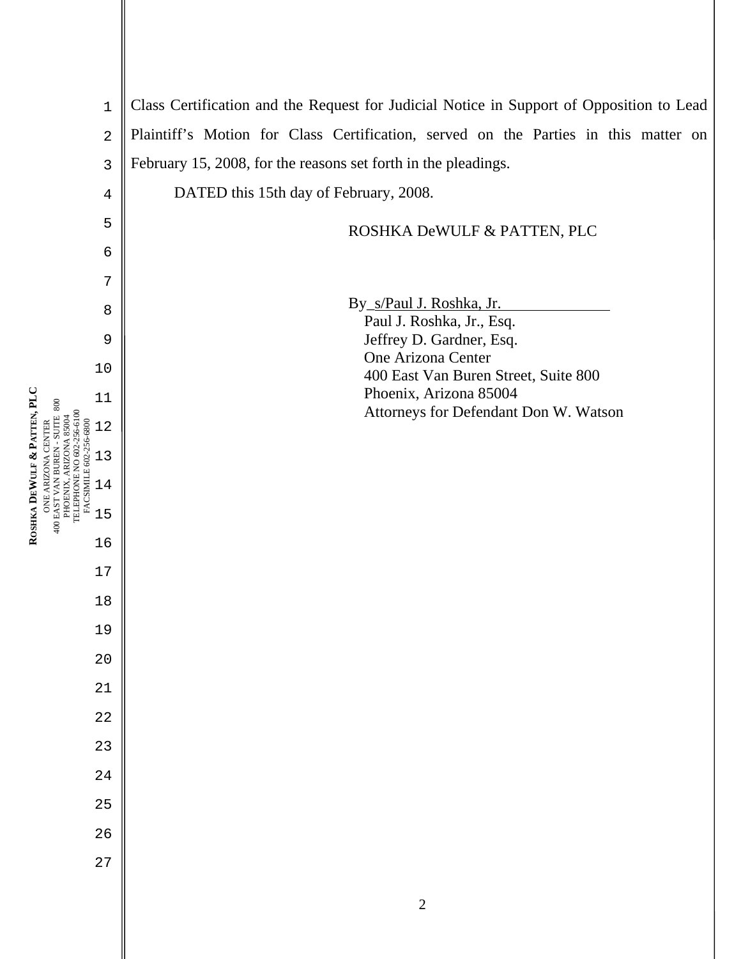1 2

4

5

6

7

8

9

10

11

12

13

14

15

16

17

18

19

20

21

22

23

24

25

26

27

3 Class Certification and the Request for Judicial Notice in Support of Opposition to Lead Plaintiff's Motion for Class Certification, served on the Parties in this matter on February 15, 2008, for the reasons set forth in the pleadings.

DATED this 15th day of February, 2008.

## ROSHKA DeWULF & PATTEN, PLC

By\_s/Paul J. Roshka, Jr.

 Paul J. Roshka, Jr., Esq. Jeffrey D. Gardner, Esq. One Arizona Center 400 East Van Buren Street, Suite 800 Phoenix, Arizona 85004 Attorneys for Defendant Don W. Watson

**ROSHKA DEWULF & PATTEN, PLC**  ONE ARIZONA CENTER 400 EAST VAN BUREN - SUITE 800 PHOENIX, ARIZONA 85004 TELEPHONE NO 602-256-6100 FACSIMILE 602-256-6800